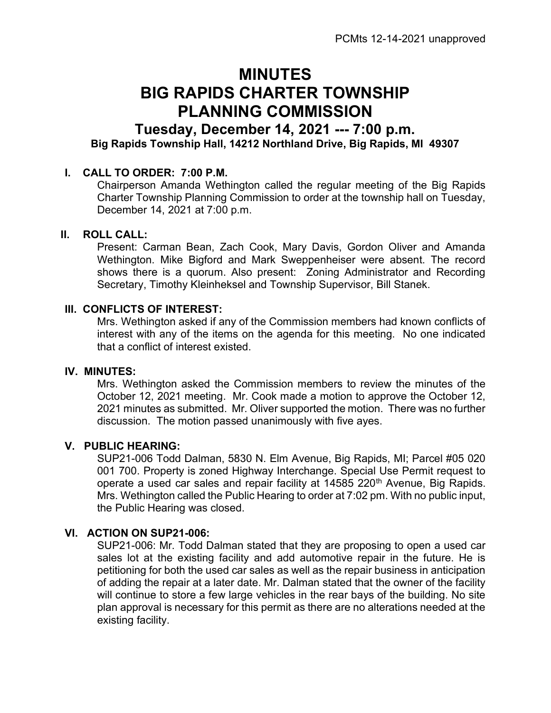# MINUTES BIG RAPIDS CHARTER TOWNSHIP PLANNING COMMISSION

## Tuesday, December 14, 2021 --- 7:00 p.m. Big Rapids Township Hall, 14212 Northland Drive, Big Rapids, MI 49307

### I. CALL TO ORDER: 7:00 P.M.

Chairperson Amanda Wethington called the regular meeting of the Big Rapids Charter Township Planning Commission to order at the township hall on Tuesday, December 14, 2021 at 7:00 p.m.

#### II. ROLL CALL:

Present: Carman Bean, Zach Cook, Mary Davis, Gordon Oliver and Amanda Wethington. Mike Bigford and Mark Sweppenheiser were absent. The record shows there is a quorum. Also present: Zoning Administrator and Recording Secretary, Timothy Kleinheksel and Township Supervisor, Bill Stanek.

#### III. CONFLICTS OF INTEREST:

Mrs. Wethington asked if any of the Commission members had known conflicts of interest with any of the items on the agenda for this meeting. No one indicated that a conflict of interest existed.

#### IV. MINUTES:

Mrs. Wethington asked the Commission members to review the minutes of the October 12, 2021 meeting. Mr. Cook made a motion to approve the October 12, 2021 minutes as submitted. Mr. Oliver supported the motion. There was no further discussion. The motion passed unanimously with five ayes.

#### V. PUBLIC HEARING:

SUP21-006 Todd Dalman, 5830 N. Elm Avenue, Big Rapids, MI; Parcel #05 020 001 700. Property is zoned Highway Interchange. Special Use Permit request to operate a used car sales and repair facility at 14585 220<sup>th</sup> Avenue, Big Rapids. Mrs. Wethington called the Public Hearing to order at 7:02 pm. With no public input, the Public Hearing was closed.

#### VI. ACTION ON SUP21-006:

SUP21-006: Mr. Todd Dalman stated that they are proposing to open a used car sales lot at the existing facility and add automotive repair in the future. He is petitioning for both the used car sales as well as the repair business in anticipation of adding the repair at a later date. Mr. Dalman stated that the owner of the facility will continue to store a few large vehicles in the rear bays of the building. No site plan approval is necessary for this permit as there are no alterations needed at the existing facility.